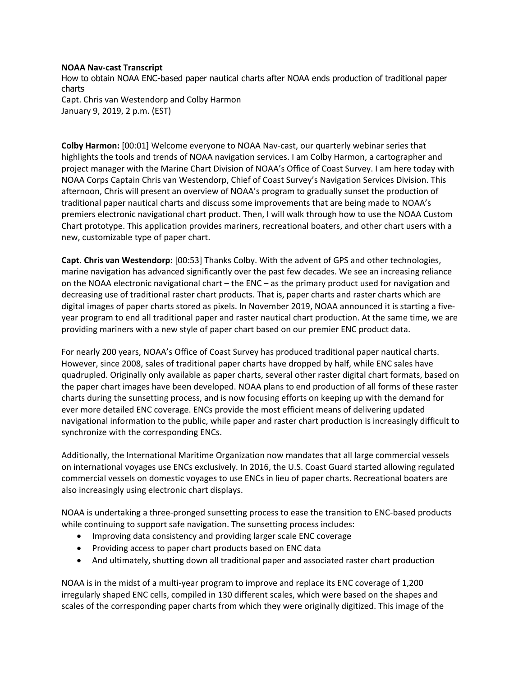## **NOAA Nav-cast Transcript**

How to obtain NOAA ENC-based paper nautical charts after NOAA ends production of traditional paper charts Capt. Chris van Westendorp and Colby Harmon January 9, 2019, 2 p.m. (EST)

**Colby Harmon:** [00:01] Welcome everyone to NOAA Nav-cast, our quarterly webinar series that highlights the tools and trends of NOAA navigation services. I am Colby Harmon, a cartographer and project manager with the Marine Chart Division of NOAA's Office of Coast Survey. I am here today with NOAA Corps Captain Chris van Westendorp, Chief of Coast Survey's Navigation Services Division. This afternoon, Chris will present an overview of NOAA's program to gradually sunset the production of traditional paper nautical charts and discuss some improvements that are being made to NOAA's premiers electronic navigational chart product. Then, I will walk through how to use the NOAA Custom Chart prototype. This application provides mariners, recreational boaters, and other chart users with a new, customizable type of paper chart.

**Capt. Chris van Westendorp:** [00:53] Thanks Colby. With the advent of GPS and other technologies, marine navigation has advanced significantly over the past few decades. We see an increasing reliance on the NOAA electronic navigational chart – the ENC – as the primary product used for navigation and decreasing use of traditional raster chart products. That is, paper charts and raster charts which are digital images of paper charts stored as pixels. In November 2019, NOAA announced it is starting a fiveyear program to end all traditional paper and raster nautical chart production. At the same time, we are providing mariners with a new style of paper chart based on our premier ENC product data.

For nearly 200 years, NOAA's Office of Coast Survey has produced traditional paper nautical charts. However, since 2008, sales of traditional paper charts have dropped by half, while ENC sales have quadrupled. Originally only available as paper charts, several other raster digital chart formats, based on the paper chart images have been developed. NOAA plans to end production of all forms of these raster charts during the sunsetting process, and is now focusing efforts on keeping up with the demand for ever more detailed ENC coverage. ENCs provide the most efficient means of delivering updated navigational information to the public, while paper and raster chart production is increasingly difficult to synchronize with the corresponding ENCs.

Additionally, the International Maritime Organization now mandates that all large commercial vessels on international voyages use ENCs exclusively. In 2016, the U.S. Coast Guard started allowing regulated commercial vessels on domestic voyages to use ENCs in lieu of paper charts. Recreational boaters are also increasingly using electronic chart displays.

NOAA is undertaking a three-pronged sunsetting process to ease the transition to ENC-based products while continuing to support safe navigation. The sunsetting process includes:

- Improving data consistency and providing larger scale ENC coverage
- Providing access to paper chart products based on ENC data
- And ultimately, shutting down all traditional paper and associated raster chart production

NOAA is in the midst of a multi-year program to improve and replace its ENC coverage of 1,200 irregularly shaped ENC cells, compiled in 130 different scales, which were based on the shapes and scales of the corresponding paper charts from which they were originally digitized. This image of the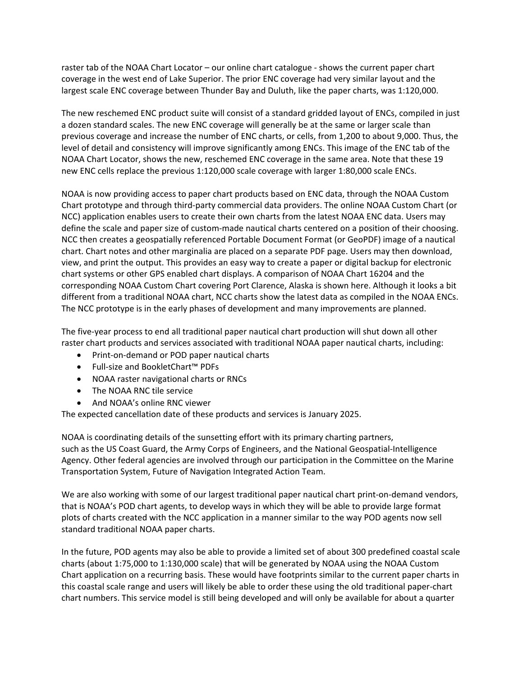raster tab of the NOAA Chart Locator – our online chart catalogue - shows the current paper chart coverage in the west end of Lake Superior. The prior ENC coverage had very similar layout and the largest scale ENC coverage between Thunder Bay and Duluth, like the paper charts, was 1:120,000.

The new reschemed ENC product suite will consist of a standard gridded layout of ENCs, compiled in just a dozen standard scales. The new ENC coverage will generally be at the same or larger scale than previous coverage and increase the number of ENC charts, or cells, from 1,200 to about 9,000. Thus, the level of detail and consistency will improve significantly among ENCs. This image of the ENC tab of the NOAA Chart Locator, shows the new, reschemed ENC coverage in the same area. Note that these 19 new ENC cells replace the previous 1:120,000 scale coverage with larger 1:80,000 scale ENCs.

NOAA is now providing access to paper chart products based on ENC data, through the NOAA Custom Chart prototype and through third-party commercial data providers. The online NOAA Custom Chart (or NCC) application enables users to create their own charts from the latest NOAA ENC data. Users may define the scale and paper size of custom-made nautical charts centered on a position of their choosing. NCC then creates a geospatially referenced Portable Document Format (or GeoPDF) image of a nautical chart. Chart notes and other marginalia are placed on a separate PDF page. Users may then download, view, and print the output. This provides an easy way to create a paper or digital backup for electronic chart systems or other GPS enabled chart displays. A comparison of NOAA Chart 16204 and the corresponding NOAA Custom Chart covering Port Clarence, Alaska is shown here. Although it looks a bit different from a traditional NOAA chart, NCC charts show the latest data as compiled in the NOAA ENCs. The NCC prototype is in the early phases of development and many improvements are planned.

The five-year process to end all traditional paper nautical chart production will shut down all other raster chart products and services associated with traditional NOAA paper nautical charts, including:

- Print-on-demand or POD paper nautical charts
- Full-size and BookletChart™ PDFs
- NOAA raster navigational charts or RNCs
- The NOAA RNC tile service
- And NOAA's online RNC viewer

The expected cancellation date of these products and services is January 2025.

NOAA is coordinating details of the sunsetting effort with its primary charting partners, such as the US Coast Guard, the Army Corps of Engineers, and the National Geospatial-Intelligence Agency. Other federal agencies are involved through our participation in the Committee on the Marine Transportation System, Future of Navigation Integrated Action Team.

We are also working with some of our largest traditional paper nautical chart print-on-demand vendors, that is NOAA's POD chart agents, to develop ways in which they will be able to provide large format plots of charts created with the NCC application in a manner similar to the way POD agents now sell standard traditional NOAA paper charts.

In the future, POD agents may also be able to provide a limited set of about 300 predefined coastal scale charts (about 1:75,000 to 1:130,000 scale) that will be generated by NOAA using the NOAA Custom Chart application on a recurring basis. These would have footprints similar to the current paper charts in this coastal scale range and users will likely be able to order these using the old traditional paper-chart chart numbers. This service model is still being developed and will only be available for about a quarter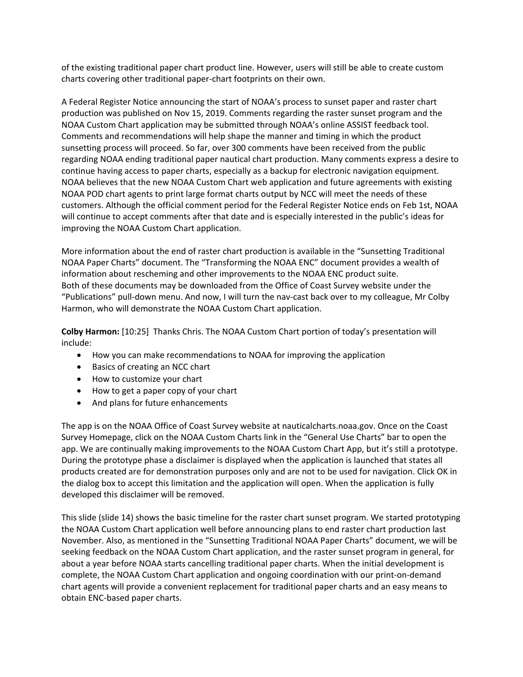of the existing traditional paper chart product line. However, users will still be able to create custom charts covering other traditional paper-chart footprints on their own.

A Federal Register Notice announcing the start of NOAA's process to sunset paper and raster chart production was published on Nov 15, 2019. Comments regarding the raster sunset program and the NOAA Custom Chart application may be submitted through NOAA's online ASSIST feedback tool. Comments and recommendations will help shape the manner and timing in which the product sunsetting process will proceed. So far, over 300 comments have been received from the public regarding NOAA ending traditional paper nautical chart production. Many comments express a desire to continue having access to paper charts, especially as a backup for electronic navigation equipment. NOAA believes that the new NOAA Custom Chart web application and future agreements with existing NOAA POD chart agents to print large format charts output by NCC will meet the needs of these customers. Although the official comment period for the Federal Register Notice ends on Feb 1st, NOAA will continue to accept comments after that date and is especially interested in the public's ideas for improving the NOAA Custom Chart application.

More information about the end of raster chart production is available in the "Sunsetting Traditional NOAA Paper Charts" document. The "Transforming the NOAA ENC" document provides a wealth of information about rescheming and other improvements to the NOAA ENC product suite. Both of these documents may be downloaded from the Office of Coast Survey website under the "Publications" pull-down menu. And now, I will turn the nav-cast back over to my colleague, Mr Colby Harmon, who will demonstrate the NOAA Custom Chart application.

**Colby Harmon:** [10:25] Thanks Chris. The NOAA Custom Chart portion of today's presentation will include:

- How you can make recommendations to NOAA for improving the application
- Basics of creating an NCC chart
- How to customize your chart
- How to get a paper copy of your chart
- And plans for future enhancements

The app is on the NOAA Office of Coast Survey website at nauticalcharts.noaa.gov. Once on the Coast Survey Homepage, click on the NOAA Custom Charts link in the "General Use Charts" bar to open the app. We are continually making improvements to the NOAA Custom Chart App, but it's still a prototype. During the prototype phase a disclaimer is displayed when the application is launched that states all products created are for demonstration purposes only and are not to be used for navigation. Click OK in the dialog box to accept this limitation and the application will open. When the application is fully developed this disclaimer will be removed.

This slide (slide 14) shows the basic timeline for the raster chart sunset program. We started prototyping the NOAA Custom Chart application well before announcing plans to end raster chart production last November. Also, as mentioned in the "Sunsetting Traditional NOAA Paper Charts" document, we will be seeking feedback on the NOAA Custom Chart application, and the raster sunset program in general, for about a year before NOAA starts cancelling traditional paper charts. When the initial development is complete, the NOAA Custom Chart application and ongoing coordination with our print-on-demand chart agents will provide a convenient replacement for traditional paper charts and an easy means to obtain ENC-based paper charts.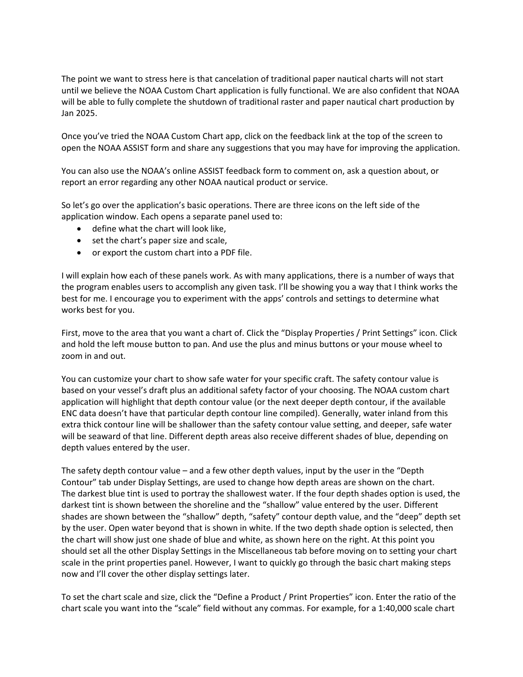The point we want to stress here is that cancelation of traditional paper nautical charts will not start until we believe the NOAA Custom Chart application is fully functional. We are also confident that NOAA will be able to fully complete the shutdown of traditional raster and paper nautical chart production by Jan 2025.

Once you've tried the NOAA Custom Chart app, click on the feedback link at the top of the screen to open the NOAA ASSIST form and share any suggestions that you may have for improving the application.

You can also use the NOAA's online ASSIST feedback form to comment on, ask a question about, or report an error regarding any other NOAA nautical product or service.

So let's go over the application's basic operations. There are three icons on the left side of the application window. Each opens a separate panel used to:

- define what the chart will look like,
- set the chart's paper size and scale,
- or export the custom chart into a PDF file.

I will explain how each of these panels work. As with many applications, there is a number of ways that the program enables users to accomplish any given task. I'll be showing you a way that I think works the best for me. I encourage you to experiment with the apps' controls and settings to determine what works best for you.

First, move to the area that you want a chart of. Click the "Display Properties / Print Settings" icon. Click and hold the left mouse button to pan. And use the plus and minus buttons or your mouse wheel to zoom in and out.

You can customize your chart to show safe water for your specific craft. The safety contour value is based on your vessel's draft plus an additional safety factor of your choosing. The NOAA custom chart application will highlight that depth contour value (or the next deeper depth contour, if the available ENC data doesn't have that particular depth contour line compiled). Generally, water inland from this extra thick contour line will be shallower than the safety contour value setting, and deeper, safe water will be seaward of that line. Different depth areas also receive different shades of blue, depending on depth values entered by the user.

The safety depth contour value – and a few other depth values, input by the user in the "Depth Contour" tab under Display Settings, are used to change how depth areas are shown on the chart. The darkest blue tint is used to portray the shallowest water. If the four depth shades option is used, the darkest tint is shown between the shoreline and the "shallow" value entered by the user. Different shades are shown between the "shallow" depth, "safety" contour depth value, and the "deep" depth set by the user. Open water beyond that is shown in white. If the two depth shade option is selected, then the chart will show just one shade of blue and white, as shown here on the right. At this point you should set all the other Display Settings in the Miscellaneous tab before moving on to setting your chart scale in the print properties panel. However, I want to quickly go through the basic chart making steps now and I'll cover the other display settings later.

To set the chart scale and size, click the "Define a Product / Print Properties" icon. Enter the ratio of the chart scale you want into the "scale" field without any commas. For example, for a 1:40,000 scale chart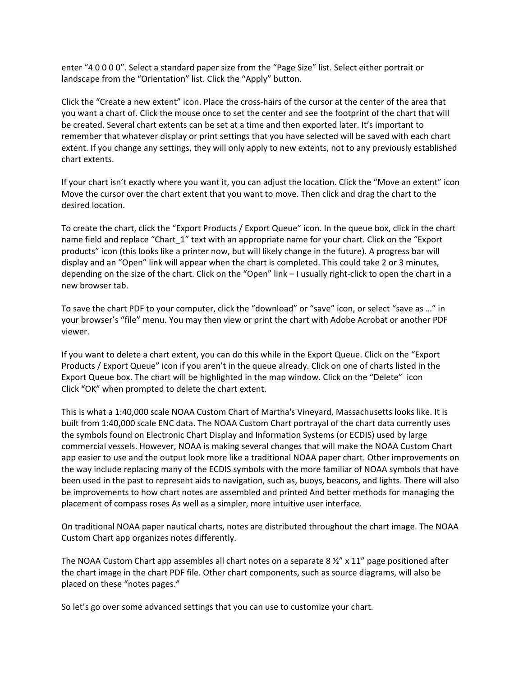enter "4 0 0 0 0". Select a standard paper size from the "Page Size" list. Select either portrait or landscape from the "Orientation" list. Click the "Apply" button.

Click the "Create a new extent" icon. Place the cross-hairs of the cursor at the center of the area that you want a chart of. Click the mouse once to set the center and see the footprint of the chart that will be created. Several chart extents can be set at a time and then exported later. It's important to remember that whatever display or print settings that you have selected will be saved with each chart extent. If you change any settings, they will only apply to new extents, not to any previously established chart extents.

If your chart isn't exactly where you want it, you can adjust the location. Click the "Move an extent" icon Move the cursor over the chart extent that you want to move. Then click and drag the chart to the desired location.

To create the chart, click the "Export Products / Export Queue" icon. In the queue box, click in the chart name field and replace "Chart\_1" text with an appropriate name for your chart. Click on the "Export products" icon (this looks like a printer now, but will likely change in the future). A progress bar will display and an "Open" link will appear when the chart is completed. This could take 2 or 3 minutes, depending on the size of the chart. Click on the "Open" link – I usually right-click to open the chart in a new browser tab.

To save the chart PDF to your computer, click the "download" or "save" icon, or select "save as …" in your browser's "file" menu. You may then view or print the chart with Adobe Acrobat or another PDF viewer.

If you want to delete a chart extent, you can do this while in the Export Queue. Click on the "Export Products / Export Queue" icon if you aren't in the queue already. Click on one of charts listed in the Export Queue box. The chart will be highlighted in the map window. Click on the "Delete" icon Click "OK" when prompted to delete the chart extent.

This is what a 1:40,000 scale NOAA Custom Chart of Martha's Vineyard, Massachusetts looks like. It is built from 1:40,000 scale ENC data. The NOAA Custom Chart portrayal of the chart data currently uses the symbols found on Electronic Chart Display and Information Systems (or ECDIS) used by large commercial vessels. However, NOAA is making several changes that will make the NOAA Custom Chart app easier to use and the output look more like a traditional NOAA paper chart. Other improvements on the way include replacing many of the ECDIS symbols with the more familiar of NOAA symbols that have been used in the past to represent aids to navigation, such as, buoys, beacons, and lights. There will also be improvements to how chart notes are assembled and printed And better methods for managing the placement of compass roses As well as a simpler, more intuitive user interface.

On traditional NOAA paper nautical charts, notes are distributed throughout the chart image. The NOAA Custom Chart app organizes notes differently.

The NOAA Custom Chart app assembles all chart notes on a separate 8  $\frac{1}{2}$  x 11" page positioned after the chart image in the chart PDF file. Other chart components, such as source diagrams, will also be placed on these "notes pages."

So let's go over some advanced settings that you can use to customize your chart.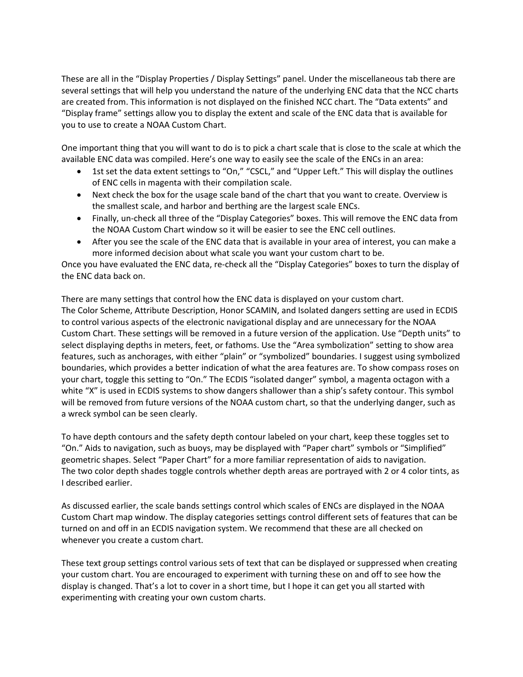These are all in the "Display Properties / Display Settings" panel. Under the miscellaneous tab there are several settings that will help you understand the nature of the underlying ENC data that the NCC charts are created from. This information is not displayed on the finished NCC chart. The "Data extents" and "Display frame" settings allow you to display the extent and scale of the ENC data that is available for you to use to create a NOAA Custom Chart.

One important thing that you will want to do is to pick a chart scale that is close to the scale at which the available ENC data was compiled. Here's one way to easily see the scale of the ENCs in an area:

- 1st set the data extent settings to "On," "CSCL," and "Upper Left." This will display the outlines of ENC cells in magenta with their compilation scale.
- Next check the box for the usage scale band of the chart that you want to create. Overview is the smallest scale, and harbor and berthing are the largest scale ENCs.
- Finally, un-check all three of the "Display Categories" boxes. This will remove the ENC data from the NOAA Custom Chart window so it will be easier to see the ENC cell outlines.
- After you see the scale of the ENC data that is available in your area of interest, you can make a more informed decision about what scale you want your custom chart to be.

Once you have evaluated the ENC data, re-check all the "Display Categories" boxes to turn the display of the ENC data back on.

There are many settings that control how the ENC data is displayed on your custom chart. The Color Scheme, Attribute Description, Honor SCAMIN, and Isolated dangers setting are used in ECDIS to control various aspects of the electronic navigational display and are unnecessary for the NOAA Custom Chart. These settings will be removed in a future version of the application. Use "Depth units" to select displaying depths in meters, feet, or fathoms. Use the "Area symbolization" setting to show area features, such as anchorages, with either "plain" or "symbolized" boundaries. I suggest using symbolized boundaries, which provides a better indication of what the area features are. To show compass roses on your chart, toggle this setting to "On." The ECDIS "isolated danger" symbol, a magenta octagon with a white "X" is used in ECDIS systems to show dangers shallower than a ship's safety contour. This symbol will be removed from future versions of the NOAA custom chart, so that the underlying danger, such as a wreck symbol can be seen clearly.

To have depth contours and the safety depth contour labeled on your chart, keep these toggles set to "On." Aids to navigation, such as buoys, may be displayed with "Paper chart" symbols or "Simplified" geometric shapes. Select "Paper Chart" for a more familiar representation of aids to navigation. The two color depth shades toggle controls whether depth areas are portrayed with 2 or 4 color tints, as I described earlier.

As discussed earlier, the scale bands settings control which scales of ENCs are displayed in the NOAA Custom Chart map window. The display categories settings control different sets of features that can be turned on and off in an ECDIS navigation system. We recommend that these are all checked on whenever you create a custom chart.

These text group settings control various sets of text that can be displayed or suppressed when creating your custom chart. You are encouraged to experiment with turning these on and off to see how the display is changed. That's a lot to cover in a short time, but I hope it can get you all started with experimenting with creating your own custom charts.